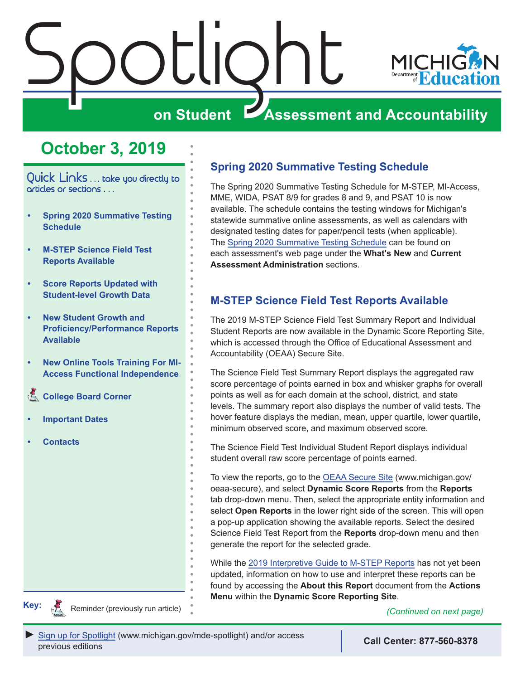<span id="page-0-0"></span>

# **October 3, 2019**

Quick Links . . . take you directly to articles or sections . . .

- **• Spring 2020 Summative Testing Schedule**
- **• M-STEP Science Field Test Reports Available**
- **• [Score Reports Updated with](#page-1-0)  [Student-level Growth Data](#page-1-0)**
- **• [New Student Growth and](#page-2-0)  [Proficiency/Performance Reports](#page-2-0)  [Available](#page-2-0)**
- **• [New Online Tools Training For MI-](#page-3-0)[Access Functional Independence](#page-3-0)**
- **College Board Corner**
- **• [Important Dates](#page-5-0)**
- **• [Contacts](#page-6-0)**

Reminders

### **Spring 2020 Summative Testing Schedule**

The Spring 2020 Summative Testing Schedule for M-STEP, MI-Access, MME, WIDA, PSAT 8/9 for grades 8 and 9, and PSAT 10 is now available. The schedule contains the testing windows for Michigan's statewide summative online assessments, as well as calendars with designated testing dates for paper/pencil tests (when applicable). The [Spring 2020 Summative Testing Schedule](https://www.michigan.gov/documents/mde/Testing_Schedule_for_Summative_Assessments_635008_7.pdf) can be found on each assessment's web page under the **What's New** and **Current Assessment Administration** sections.

### **M-STEP Science Field Test Reports Available**

The 2019 M-STEP Science Field Test Summary Report and Individual Student Reports are now available in the Dynamic Score Reporting Site, which is accessed through the Office of Educational Assessment and Accountability (OEAA) Secure Site.

The Science Field Test Summary Report displays the aggregated raw score percentage of points earned in box and whisker graphs for overall points as well as for each domain at the school, district, and state levels. The summary report also displays the number of valid tests. The hover feature displays the median, mean, upper quartile, lower quartile, minimum observed score, and maximum observed score.

The Science Field Test Individual Student Report displays individual student overall raw score percentage of points earned.

To view the reports, go to the [OEAA Secure Site](http://www.michigan.gov/oeaa-secure) (www.michigan.gov/ oeaa-secure), and select **Dynamic Score Reports** from the **Reports** tab drop-down menu. Then, select the appropriate entity information and select **Open Reports** in the lower right side of the screen. This will open a pop-up application showing the available reports. Select the desired Science Field Test Report from the **Reports** drop-down menu and then generate the report for the selected grade.

While the [2019 Interpretive Guide to M-STEP Reports](https://www.michigan.gov/documents/mde/2019_Interpretive_Guide_to_M-STEP_Reports_661956_7.pdf) has not yet been updated, information on how to use and interpret these reports can be found by accessing the **About this Report** document from the **Actions Menu** within the **Dynamic Score Reporting Site**.<br>**Key:** Reminder (previously run article)



Reminder (previously run article)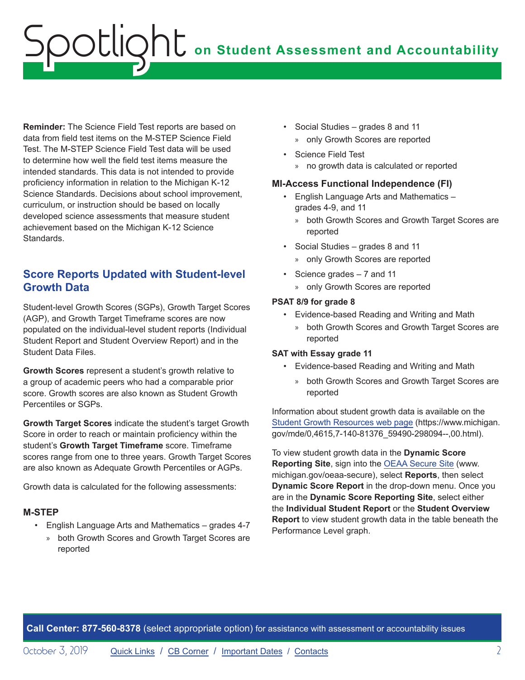# <span id="page-1-0"></span>**on Student Assessment and Accountability** Spotlight

**Reminder:** The Science Field Test reports are based on data from field test items on the M-STEP Science Field Test. The M-STEP Science Field Test data will be used to determine how well the field test items measure the intended standards. This data is not intended to provide proficiency information in relation to the Michigan K-12 Science Standards. Decisions about school improvement, curriculum, or instruction should be based on locally developed science assessments that measure student achievement based on the Michigan K-12 Science Standards.

### <span id="page-1-1"></span>**Score Reports Updated with Student-level Growth Data**

Student-level Growth Scores (SGPs), Growth Target Scores (AGP), and Growth Target Timeframe scores are now populated on the individual-level student reports (Individual Student Report and Student Overview Report) and in the Student Data Files.

**Growth Scores** represent a student's growth relative to a group of academic peers who had a comparable prior score. Growth scores are also known as Student Growth Percentiles or SGPs.

**Growth Target Scores** indicate the student's target Growth Score in order to reach or maintain proficiency within the student's **Growth Target Timeframe** score. Timeframe scores range from one to three years. Growth Target Scores are also known as Adequate Growth Percentiles or AGPs.

Growth data is calculated for the following assessments:

#### **M-STEP**

- English Language Arts and Mathematics grades 4-7
	- » both Growth Scores and Growth Target Scores are reported
- Social Studies grades 8 and 11 » only Growth Scores are reported
- Science Field Test » no growth data is calculated or reported

#### **MI-Access Functional Independence (FI)**

- English Language Arts and Mathematics grades 4-9, and 11
	- » both Growth Scores and Growth Target Scores are reported
- Social Studies grades 8 and 11
	- » only Growth Scores are reported
- Science grades 7 and 11
	- » only Growth Scores are reported

#### **PSAT 8/9 for grade 8**

- Evidence-based Reading and Writing and Math
	- » both Growth Scores and Growth Target Scores are reported

#### **SAT with Essay grade 11**

- Evidence-based Reading and Writing and Math
	- » both Growth Scores and Growth Target Scores are reported

Information about student growth data is available on the [Student Growth Resources web page](https://www.michigan.gov/mde/0,4615,7-140-81376_59490-298094--,00.html) (https://www.michigan. gov/mde/0,4615,7-140-81376\_59490-298094--,00.html).

To view student growth data in the **Dynamic Score Reporting Site**, sign into the [OEAA Secure Site](http://www.michigan.gov/oeaa-secure) (www. michigan.gov/oeaa-secure), select **Reports**, then select **Dynamic Score Report** in the drop-down menu. Once you are in the **Dynamic Score Reporting Site**, select either the **Individual Student Report** or the **Student Overview Report** to view student growth data in the table beneath the Performance Level graph.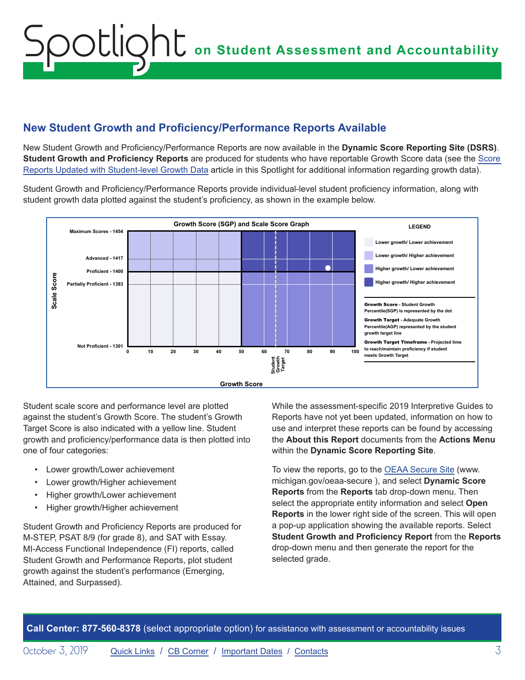# <span id="page-2-0"></span>**on Student Assessment and Accountability** Spoctlight on Student Assessment and Accounta Hampton Elementary School | Reporting Code: None  $A$ lexander, aa $\mathcal{A}$  aaliyah w  $\mathcal{A}$  =  $\mathcal{A}$  =  $\mathcal{A}$  =  $\mathcal{A}$  =  $\mathcal{A}$  =  $\mathcal{A}$  =  $\mathcal{A}$  =  $\mathcal{A}$

## **New Student Growth and Proficiency/Performance Reports Available**

New Student Growth and Proficiency/Performance Reports are now available in the **Dynamic Score Reporting Site (DSRS)**. Student Growth and Proficiency Reports are produced for students who have reportable Growth [Score](#page-1-1) data (see the Score Reports [Updated with Student-level](#page-1-1) Growth Data article in this Spotlight for additional information regarding growth data).

Student Growth and Proficiency/Performance Reports provide individual-level student proficiency information, along with student growth data plotted against the student's proficiency, as shown in the example below.



Student scale score and performance level are plotted against the student's Growth Score. The student's Growth Target Score is also indicated with a yellow line. Student growth and proficiency/performance data is then plotted into one of four categories:

- Lower growth/Lower achievement
- Lower growth/Higher achievement
- Higher growth/Lower achievement
- Higher growth/Higher achievement

Student Growth and Proficiency Reports are produced for M-STEP, PSAT 8/9 (for grade 8), and SAT with Essay. MI-Access Functional Independence (FI) reports, called Student Growth and Performance Reports, plot student growth against the student's performance (Emerging, Attained, and Surpassed).

While the assessment-specific 2019 Interpretive Guides to Reports have not yet been updated, information on how to use and interpret these reports can be found by accessing the **About this Report** documents from the **Actions Menu** within the **Dynamic Score Reporting Site**.

To view the reports, go to the [OEAA Secure Site](http://www.michigan.gov/oeaa-secure) (www. michigan.gov/oeaa-secure ), and select **Dynamic Score Reports** from the **Reports** tab drop-down menu. Then select the appropriate entity information and select **Open Reports** in the lower right side of the screen. This will open a pop-up application showing the available reports. Select **Student Growth and Proficiency Report** from the **Reports** drop-down menu and then generate the report for the selected grade.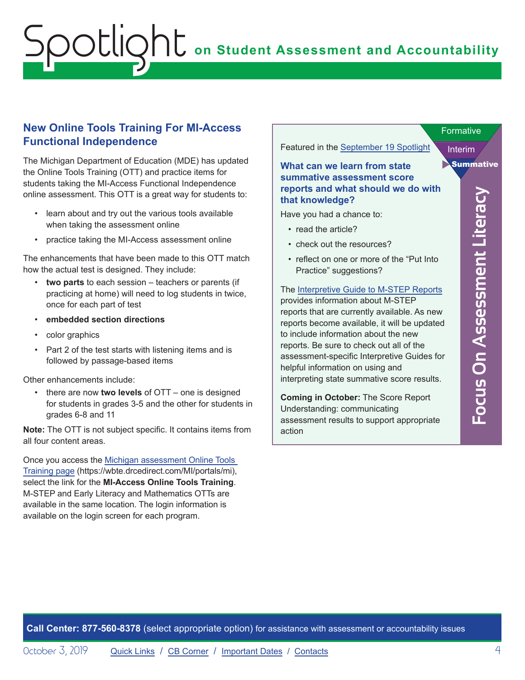#### <span id="page-3-0"></span>**New Online Tools Training For MI-Access Functional Independence**

The Michigan Department of Education (MDE) has updated the Online Tools Training (OTT) and practice items for students taking the MI-Access Functional Independence online assessment. This OTT is a great way for students to:

- learn about and try out the various tools available when taking the assessment online
- practice taking the MI-Access assessment online

The enhancements that have been made to this OTT match how the actual test is designed. They include:

- **two parts** to each session teachers or parents (if practicing at home) will need to log students in twice, once for each part of test
- **embedded section directions**
- color graphics
- Part 2 of the test starts with listening items and is followed by passage-based items

Other enhancements include:

• there are now **two levels** of OTT – one is designed for students in grades 3-5 and the other for students in grades 6-8 and 11

**Note:** The OTT is not subject specific. It contains items from all four content areas.

Once you access the [Michigan assessment Online Tools](https://wbte.drcedirect.com/MI/portals/mi)  [Training page](https://wbte.drcedirect.com/MI/portals/mi) (https://wbte.drcedirect.com/MI/portals/mi), select the link for the **MI-Access Online Tools Training**. M-STEP and Early Literacy and Mathematics OTTs are available in the same location. The login information is available on the login screen for each program.

Featured in the [September 19 Spotlight](https://www.michigan.gov/documents/mde/Spotlight_9-19-19_666302_7.pdf)

#### **What can we learn from state summative assessment score reports and what should we do with that knowledge?**

Have you had a chance to:

- read the article?
- check out the resources?
- reflect on one or more of the "Put Into Practice" suggestions?

The [Interpretive Guide to M-STEP Reports](https://www.michigan.gov/documents/mde/2019_Interpretive_Guide_to_M-STEP_Reports_661956_7.pdf) provides information about M-STEP reports that are currently available. As new reports become available, it will be updated to include information about the new reports. Be sure to check out all of the assessment-specific Interpretive Guides for helpful information on using and interpreting state summative score results.

**Coming in October:** The Score Report Understanding: communicating assessment results to support appropriate action

Interim

Summative

**Formative**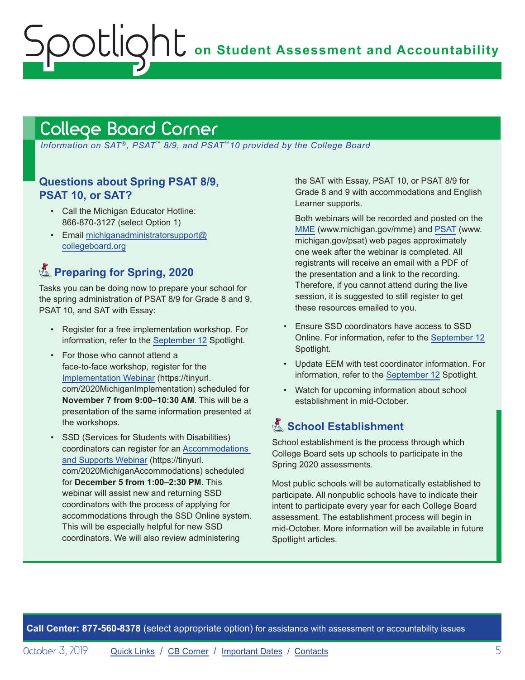# <span id="page-4-1"></span>College Board Corner

<span id="page-4-0"></span>potlic

*Information on SAT*®*, PSAT*™ *8/9, and PSAT*™*10 provided by the College Board*

#### **Questions about Spring PSAT 8/9, PSAT 10, or SAT?**

- Call the Michigan Educator Hotline: 866-870-3127 (select Option 1)
- Email [michiganadministratorsupport@](mailto:michiganadministratorsupport%40collegeboard.org?subject=) [collegeboard.org](mailto:michiganadministratorsupport%40collegeboard.org?subject=)

# **A.** Preparing for Spring, 2020

Tasks you can be doing now to prepare your school for the spring administration of PSAT 8/9 for Grade 8 and 9, PSAT 10, and SAT with Essay:

- Register for a free implementation workshop. For information, refer to the [September 12](https://www.michigan.gov/documents/mde/Spotlight_9-12-19_665733_7.pdf) Spotlight.
- For those who cannot attend a face-to-face workshop, register for the [Implementation Webinar](https://tinyurl.com/2020MichiganImplementation) (https://tinyurl. com/2020MichiganImplementation) scheduled for **November 7 from 9:00–10:30 AM**. This will be a presentation of the same information presented at the workshops.
- SSD (Services for Students with Disabilities) coordinators can register for an [Accommodations](https://tinyurl.com/2020MichiganAccommodations)  [and Supports Webinar](https://tinyurl.com/2020MichiganAccommodations) (https://tinyurl. com/2020MichiganAccommodations) scheduled for **December 5 from 1:00–2:30 PM**. This webinar will assist new and returning SSD coordinators with the process of applying for accommodations through the SSD Online system. This will be especially helpful for new SSD coordinators. We will also review administering

the SAT with Essay, PSAT 10, or PSAT 8/9 for Grade 8 and 9 with accommodations and English Learner supports.

Both webinars will be recorded and posted on the [MME](www.michigan.gov/mme) (www.michigan.gov/mme) and [PSAT](http://www.michigan.gov/psat) (www. michigan.gov/psat) web pages approximately one week after the webinar is completed. All registrants will receive an email with a PDF of the presentation and a link to the recording. Therefore, if you cannot attend during the live session, it is suggested to still register to get these resources emailed to you.

- Ensure SSD coordinators have access to SSD Online. For information, refer to the [September 12](https://www.michigan.gov/documents/mde/Spotlight_9-12-19_665733_7.pdf) Spotlight.
- Update EEM with test coordinator information. For information, refer to the [September 12](https://www.michigan.gov/documents/mde/Spotlight_9-12-19_665733_7.pdf) Spotlight.
- Watch for upcoming information about school establishment in mid-October.

## **K** School Establishment

School establishment is the process through which College Board sets up schools to participate in the Spring 2020 assessments.

Most public schools will be automatically established to participate. All nonpublic schools have to indicate their intent to participate every year for each College Board assessment. The establishment process will begin in mid-October. More information will be available in future Spotlight articles.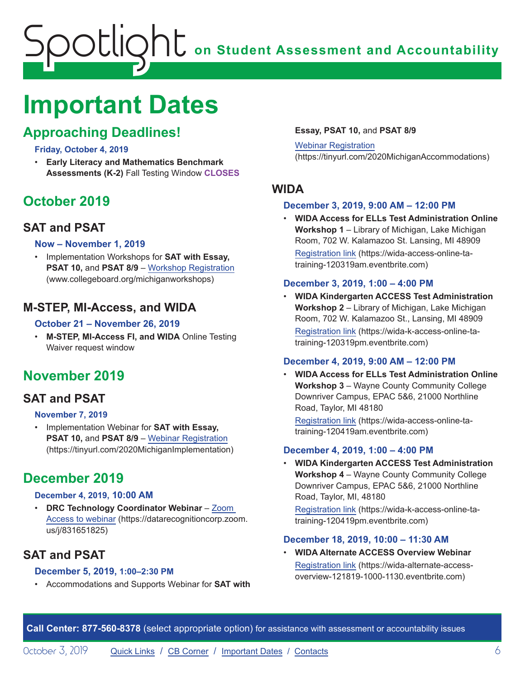# <span id="page-5-0"></span>**on Student Assessment and Accountability** Spotlight

# <span id="page-5-1"></span>**Important Dates**

# **Approaching Deadlines!**

#### **Friday, October 4, 2019**

• **Early Literacy and Mathematics Benchmark Assessments (K-2)** Fall Testing Window **CLOSES**

# **October 2019**

## **SAT and PSAT**

#### **Now – November 1, 2019**

• Implementation Workshops for **SAT with Essay, PSAT 10, and PSAT 8/9 – [Workshop Registration](http://www.collegeboard.org/michiganworkshops)** (www.collegeboard.org/michiganworkshops)

### **M-STEP, MI-Access, and WIDA**

#### **October 21 – November 26, 2019**

• **M-STEP, MI-Access FI, and WIDA** Online Testing Waiver request window

# **November 2019**

# **SAT and PSAT**

#### **November 7, 2019**

• Implementation Webinar for **SAT with Essay, PSAT 10,** and **PSAT 8/9** – [Webinar Registration](https://tinyurl.com/2020MichiganImplementation) (https://tinyurl.com/2020MichiganImplementation)

# **December 2019**

#### **December 4, 2019, 10:00 AM**

• **DRC Technology Coordinator Webinar** – [Zoom](https://datarecognitioncorp.zoom.us/j/831651825)  [Access to webinar](https://datarecognitioncorp.zoom.us/j/831651825) (https://datarecognitioncorp.zoom. us/j/831651825)

# **SAT and PSAT**

#### **December 5, 2019, 1:00–2:30 PM**

• Accommodations and Supports Webinar for **SAT with** 

#### **Essay, PSAT 10,** and **PSAT 8/9**

Webinar [Registration](https://tinyurl.com/2020MichiganAccommodations) (https://tinyurl.com/2020MichiganAccommodations)

### **WIDA**

#### **December 3, 2019, 9:00 AM – 12:00 PM**

• **WIDA Access for ELLs Test Administration Online Workshop 1** – Library of Michigan, Lake Michigan Room, 702 W. Kalamazoo St. Lansing, MI 48909 [Registration link](https://wida-access-online-ta-training-120319am.eventbrite.com) (https://wida-access-online-tatraining-120319am.eventbrite.com)

#### **December 3, 2019, 1:00 – 4:00 PM**

• **WIDA Kindergarten ACCESS Test Administration Workshop 2** – Library of Michigan, Lake Michigan Room, 702 W. Kalamazoo St., Lansing, MI 48909 [Registration link](https://wida-k-access-online-ta-training-120319pm.eventbrite.com) (https://wida-k-access-online-tatraining-120319pm.eventbrite.com)

#### **December 4, 2019, 9:00 AM – 12:00 PM**

• **WIDA Access for ELLs Test Administration Online Workshop 3** – Wayne County Community College Downriver Campus, EPAC 5&6, 21000 Northline Road, Taylor, MI 48180

[Registration link](https://wida-access-online-ta-training-120419am.eventbrite.com) (https://wida-access-online-tatraining-120419am.eventbrite.com)

#### **December 4, 2019, 1:00 – 4:00 PM**

• **WIDA Kindergarten ACCESS Test Administration Workshop 4** – Wayne County Community College Downriver Campus, EPAC 5&6, 21000 Northline Road, Taylor, MI, 48180

[Registration link](https://wida-k-access-online-ta-training-120419pm.eventbrite.com) (https://wida-k-access-online-tatraining-120419pm.eventbrite.com)

#### **December 18, 2019, 10:00 – 11:30 AM**

• **WIDA Alternate ACCESS Overview Webinar** [Registration link](https://wida-alternate-access-overview-121819-1000-1130.eventbrite.com) (https://wida-alternate-accessoverview-121819-1000-1130.eventbrite.com)